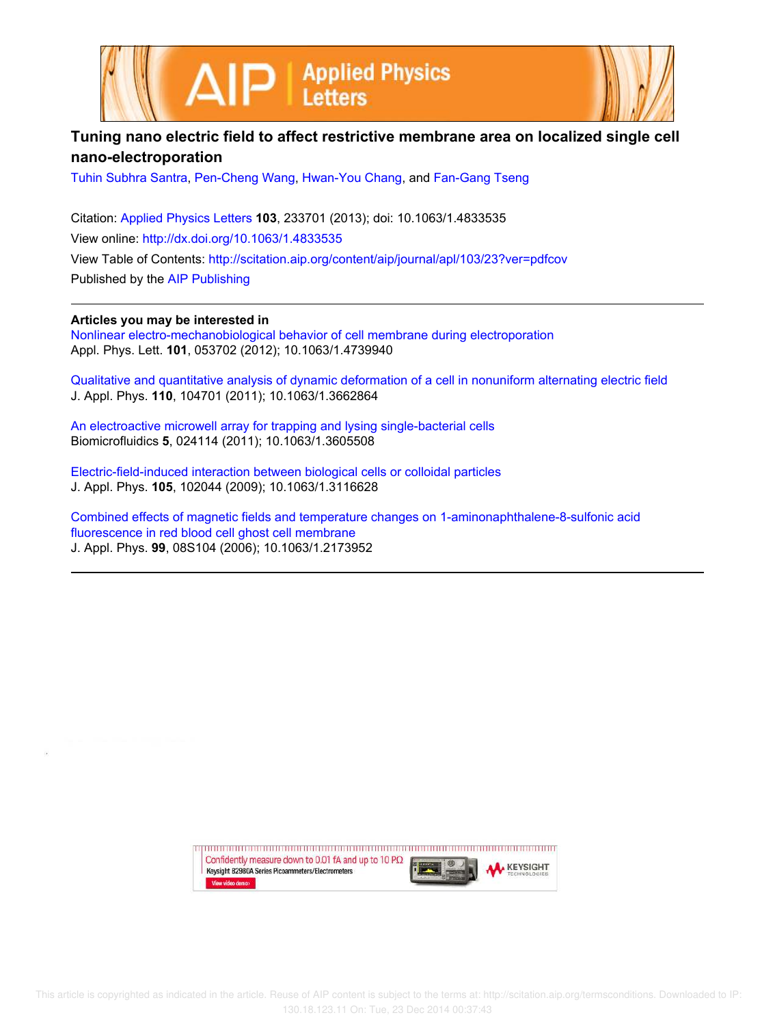



## **Tuning nano electric field to affect restrictive membrane area on localized single cell nano-electroporation**

Tuhin Subhra Santra, Pen-Cheng Wang, Hwan-You Chang, and Fan-Gang Tseng

Citation: Applied Physics Letters **103**, 233701 (2013); doi: 10.1063/1.4833535 View online: http://dx.doi.org/10.1063/1.4833535 View Table of Contents: http://scitation.aip.org/content/aip/journal/apl/103/23?ver=pdfcov Published by the AIP Publishing

**Articles you may be interested in**

Nonlinear electro-mechanobiological behavior of cell membrane during electroporation Appl. Phys. Lett. **101**, 053702 (2012); 10.1063/1.4739940

Qualitative and quantitative analysis of dynamic deformation of a cell in nonuniform alternating electric field J. Appl. Phys. **110**, 104701 (2011); 10.1063/1.3662864

An electroactive microwell array for trapping and lysing single-bacterial cells Biomicrofluidics **5**, 024114 (2011); 10.1063/1.3605508

Electric-field-induced interaction between biological cells or colloidal particles J. Appl. Phys. **105**, 102044 (2009); 10.1063/1.3116628

Combined effects of magnetic fields and temperature changes on 1-aminonaphthalene-8-sulfonic acid fluorescence in red blood cell ghost cell membrane J. Appl. Phys. **99**, 08S104 (2006); 10.1063/1.2173952

> Confidently measure down to 0.01 fA and up to 10  $P\Omega$ **KEYSIGHT** Keysight B2980A Series Picoammeters/Electrometers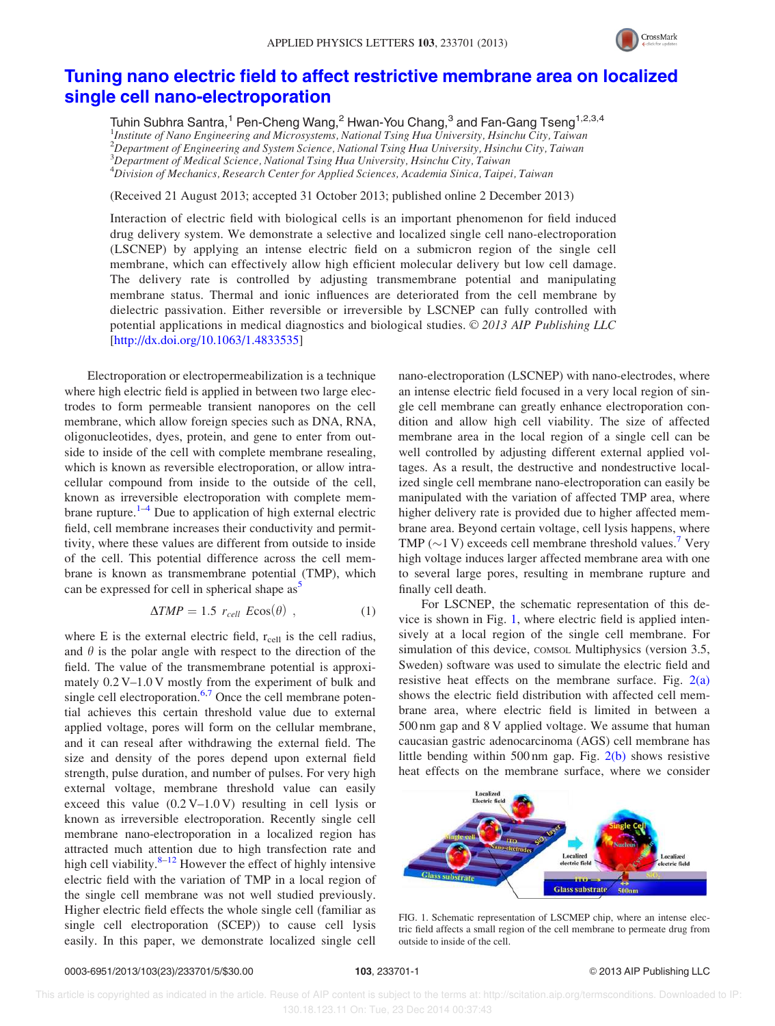

## Tuning nano electric field to affect restrictive membrane area on localized single cell nano-electroporation

Tuhin Subhra Santra,<sup>1</sup> Pen-Cheng Wang,<sup>2</sup> Hwan-You Chang,<sup>3</sup> and Fan-Gang Tseng<sup>1,2,3,4</sup> <sup>1</sup>Institute of Nano Engineering and Microsystems, National Tsing Hua University, Hsinchu City, Taiwan  $^{2}$ Department of Engineering and System Science, National Tsing Hua University, Hsinchu City, Taiwan  $3$ Department of Medical Science, National Tsing Hua University, Hsinchu City, Taiwan  $^4$ Division of Mechanics, Research Center for Applied Sciences, Academia Sinica, Taipei, Taiwan

(Received 21 August 2013; accepted 31 October 2013; published online 2 December 2013)

Interaction of electric field with biological cells is an important phenomenon for field induced drug delivery system. We demonstrate a selective and localized single cell nano-electroporation (LSCNEP) by applying an intense electric field on a submicron region of the single cell membrane, which can effectively allow high efficient molecular delivery but low cell damage. The delivery rate is controlled by adjusting transmembrane potential and manipulating membrane status. Thermal and ionic influences are deteriorated from the cell membrane by dielectric passivation. Either reversible or irreversible by LSCNEP can fully controlled with potential applications in medical diagnostics and biological studies.  $\odot$  2013 AIP Publishing LLC [http://dx.doi.org/10.1063/1.4833535]

Electroporation or electropermeabilization is a technique where high electric field is applied in between two large electrodes to form permeable transient nanopores on the cell membrane, which allow foreign species such as DNA, RNA, oligonucleotides, dyes, protein, and gene to enter from outside to inside of the cell with complete membrane resealing, which is known as reversible electroporation, or allow intracellular compound from inside to the outside of the cell, known as irreversible electroporation with complete membrane rupture.<sup>1–4</sup> Due to application of high external electric field, cell membrane increases their conductivity and permittivity, where these values are different from outside to inside of the cell. This potential difference across the cell membrane is known as transmembrane potential (TMP), which can be expressed for cell in spherical shape  $as<sup>5</sup>$ 

$$
\Delta TMP = 1.5 r_{cell} E \cos(\theta) , \qquad (1)
$$

where E is the external electric field,  $r_{cell}$  is the cell radius, and  $\theta$  is the polar angle with respect to the direction of the field. The value of the transmembrane potential is approximately 0.2 V–1.0 V mostly from the experiment of bulk and single cell electroporation. $6,7$  Once the cell membrane potential achieves this certain threshold value due to external applied voltage, pores will form on the cellular membrane, and it can reseal after withdrawing the external field. The size and density of the pores depend upon external field strength, pulse duration, and number of pulses. For very high external voltage, membrane threshold value can easily exceed this value  $(0.2 V-1.0 V)$  resulting in cell lysis or known as irreversible electroporation. Recently single cell membrane nano-electroporation in a localized region has attracted much attention due to high transfection rate and high cell viability. $8-12$  However the effect of highly intensive electric field with the variation of TMP in a local region of the single cell membrane was not well studied previously. Higher electric field effects the whole single cell (familiar as single cell electroporation (SCEP)) to cause cell lysis easily. In this paper, we demonstrate localized single cell

nano-electroporation (LSCNEP) with nano-electrodes, where an intense electric field focused in a very local region of single cell membrane can greatly enhance electroporation condition and allow high cell viability. The size of affected membrane area in the local region of a single cell can be well controlled by adjusting different external applied voltages. As a result, the destructive and nondestructive localized single cell membrane nano-electroporation can easily be manipulated with the variation of affected TMP area, where higher delivery rate is provided due to higher affected membrane area. Beyond certain voltage, cell lysis happens, where TMP ( $\sim$ 1 V) exceeds cell membrane threshold values.<sup>7</sup> Very high voltage induces larger affected membrane area with one to several large pores, resulting in membrane rupture and finally cell death.

For LSCNEP, the schematic representation of this device is shown in Fig. 1, where electric field is applied intensively at a local region of the single cell membrane. For simulation of this device, comsol. Multiphysics (version 3.5, Sweden) software was used to simulate the electric field and resistive heat effects on the membrane surface. Fig.  $2(a)$ shows the electric field distribution with affected cell membrane area, where electric field is limited in between a 500 nm gap and 8 V applied voltage. We assume that human caucasian gastric adenocarcinoma (AGS) cell membrane has little bending within 500 nm gap. Fig. 2(b) shows resistive heat effects on the membrane surface, where we consider



FIG. 1. Schematic representation of LSCMEP chip, where an intense electric field affects a small region of the cell membrane to permeate drug from outside to inside of the cell.

 This article is copyrighted as indicated in the article. Reuse of AIP content is subject to the terms at: http://scitation.aip.org/termsconditions. Downloaded to IP: 130.18.123.11 On: Tue, 23 Dec 2014 00:37:43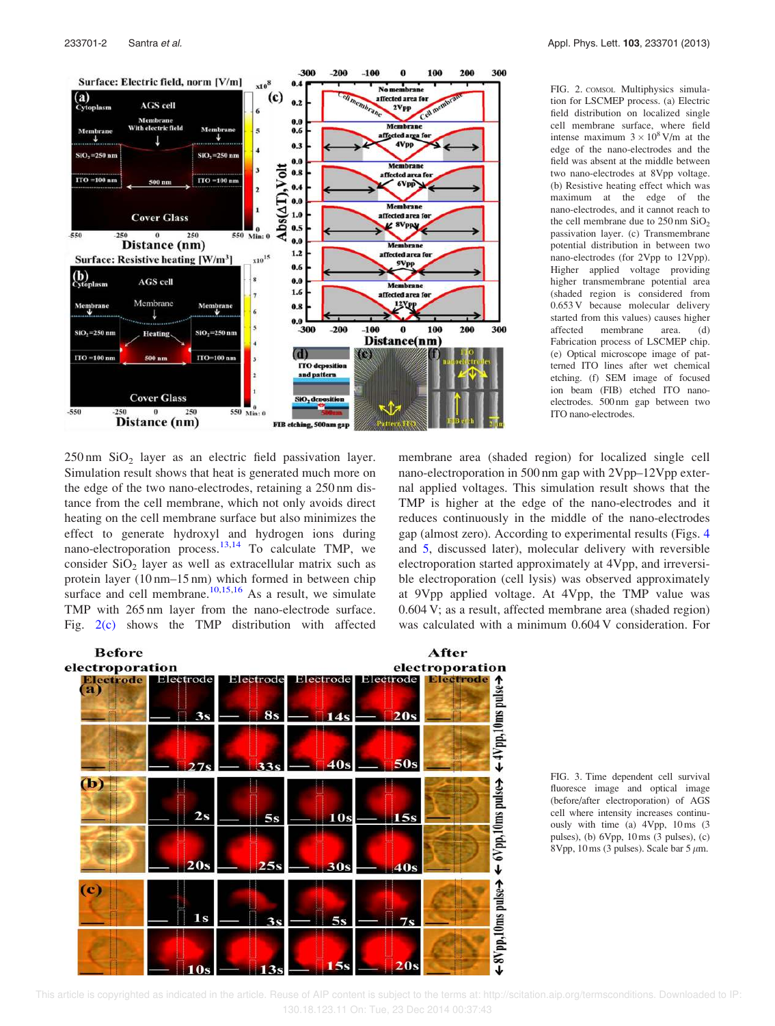

233701-2 Santra et al. Appl. Phys. Lett. 103, 233701 (2013)

FIG. 2. COMSOL Multiphysics simulation for LSCMEP process. (a) Electric field distribution on localized single cell membrane surface, where field intense maximum  $3 \times 10^8$  V/m at the edge of the nano-electrodes and the field was absent at the middle between two nano-electrodes at 8Vpp voltage. (b) Resistive heating effect which was maximum at the edge of the nano-electrodes, and it cannot reach to the cell membrane due to  $250 \text{ nm }$  SiO<sub>2</sub> passivation layer. (c) Transmembrane potential distribution in between two nano-electrodes (for 2Vpp to 12Vpp). Higher applied voltage providing higher transmembrane potential area (shaded region is considered from 0.653 V because molecular delivery started from this values) causes higher affected membrane area. (d) Fabrication process of LSCMEP chip. (e) Optical microscope image of patterned ITO lines after wet chemical etching. (f) SEM image of focused ion beam (FIB) etched ITO nanoelectrodes. 500 nm gap between two ITO nano-electrodes.

 $250 \text{ nm}$  SiO<sub>2</sub> layer as an electric field passivation layer. Simulation result shows that heat is generated much more on the edge of the two nano-electrodes, retaining a 250 nm distance from the cell membrane, which not only avoids direct heating on the cell membrane surface but also minimizes the effect to generate hydroxyl and hydrogen ions during nano-electroporation process.13,14 To calculate TMP, we consider  $SiO<sub>2</sub>$  layer as well as extracellular matrix such as protein layer (10 nm–15 nm) which formed in between chip surface and cell membrane. $10,15,16$  As a result, we simulate TMP with 265 nm layer from the nano-electrode surface. Fig. 2(c) shows the TMP distribution with affected

membrane area (shaded region) for localized single cell nano-electroporation in 500 nm gap with 2Vpp–12Vpp external applied voltages. This simulation result shows that the TMP is higher at the edge of the nano-electrodes and it reduces continuously in the middle of the nano-electrodes gap (almost zero). According to experimental results (Figs. 4 and 5, discussed later), molecular delivery with reversible electroporation started approximately at 4Vpp, and irreversible electroporation (cell lysis) was observed approximately at 9Vpp applied voltage. At 4Vpp, the TMP value was 0.604 V; as a result, affected membrane area (shaded region) was calculated with a minimum 0.604 V consideration. For



FIG. 3. Time dependent cell survival fluoresce image and optical image (before/after electroporation) of AGS cell where intensity increases continuously with time (a) 4Vpp, 10 ms (3 pulses), (b) 6Vpp, 10 ms (3 pulses), (c) 8Vpp, 10 ms (3 pulses). Scale bar 5  $\mu$ m.

 This article is copyrighted as indicated in the article. Reuse of AIP content is subject to the terms at: http://scitation.aip.org/termsconditions. Downloaded to IP: 130.18.123.11 On: Tue, 23 Dec 2014 00:37:43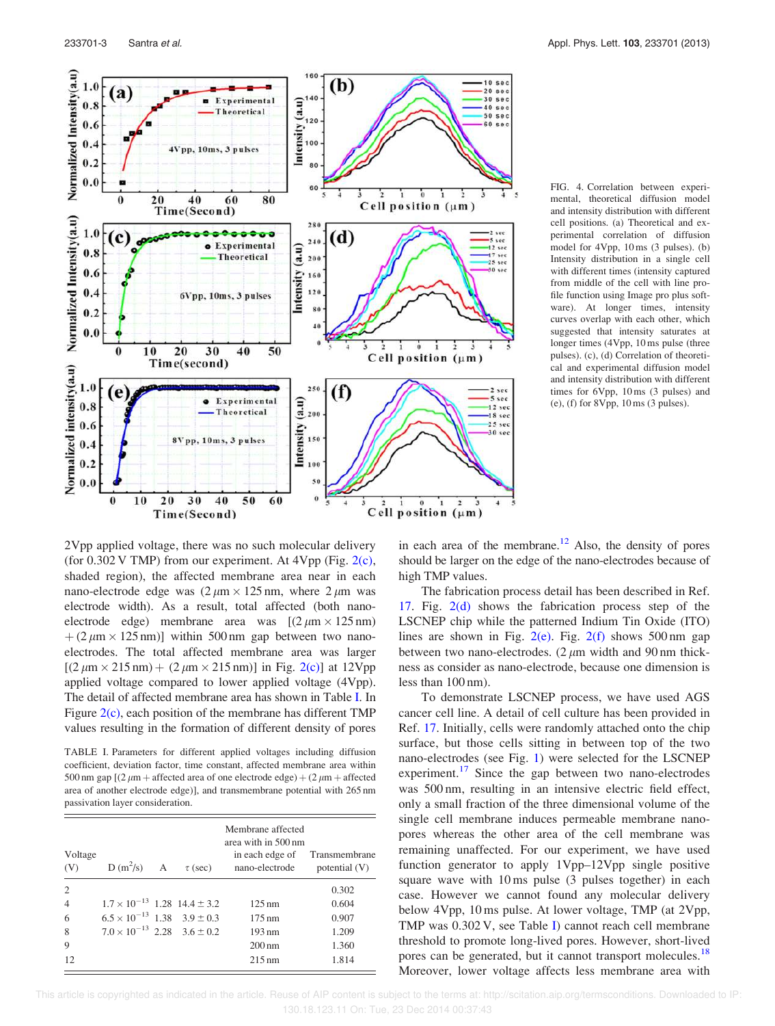

FIG. 4. Correlation between experimental, theoretical diffusion model and intensity distribution with different cell positions. (a) Theoretical and experimental correlation of diffusion model for 4Vpp, 10 ms (3 pulses). (b) Intensity distribution in a single cell with different times (intensity captured from middle of the cell with line profile function using Image pro plus software). At longer times, intensity curves overlap with each other, which suggested that intensity saturates at longer times (4Vpp, 10 ms pulse (three pulses). (c), (d) Correlation of theoretical and experimental diffusion model and intensity distribution with different times for 6Vpp, 10 ms (3 pulses) and (e), (f) for 8Vpp, 10 ms (3 pulses).

2Vpp applied voltage, there was no such molecular delivery (for  $0.302$  V TMP) from our experiment. At 4Vpp (Fig. 2(c), shaded region), the affected membrane area near in each nano-electrode edge was  $(2 \mu m \times 125 nm)$ , where  $2 \mu m$  was electrode width). As a result, total affected (both nanoelectrode edge) membrane area was  $[(2 \mu m \times 125 nm)]$  $+(2 \mu m \times 125 nm)$ ] within 500 nm gap between two nanoelectrodes. The total affected membrane area was larger  $[(2 \mu m \times 215 nm) + (2 \mu m \times 215 nm)]$  in Fig. 2(c)] at 12Vpp applied voltage compared to lower applied voltage (4Vpp). The detail of affected membrane area has shown in Table I. In Figure  $2(c)$ , each position of the membrane has different TMP values resulting in the formation of different density of pores

TABLE I. Parameters for different applied voltages including diffusion coefficient, deviation factor, time constant, affected membrane area within 500 nm gap  $(2 \mu m +$  affected area of one electrode edge) +  $(2 \mu m +$  affected area of another electrode edge)], and transmembrane potential with 265 nm passivation layer consideration.

| Voltage<br>(V) | $D(m^2/s)$ A                             | $\tau$ (sec) | Membrane affected<br>area with in 500 nm<br>in each edge of Transmembrane<br>nano-electrode | potential (V) |
|----------------|------------------------------------------|--------------|---------------------------------------------------------------------------------------------|---------------|
| 2              |                                          |              |                                                                                             | 0.302         |
| $\overline{4}$ | $1.7 \times 10^{-13}$ 1.28 14.4 ± 3.2    |              | $125 \,\mathrm{nm}$                                                                         | 0.604         |
| 6              | $6.5 \times 10^{-13}$ 1.38 3.9 ± 0.3     |              | $175 \text{ nm}$                                                                            | 0.907         |
| 8              | $7.0 \times 10^{-13}$ 2.28 $3.6 \pm 0.2$ |              | $193 \text{ nm}$                                                                            | 1.209         |
| 9              |                                          |              | $200 \text{ nm}$                                                                            | 1.360         |
| 12             |                                          |              | $215 \text{ nm}$                                                                            | 1.814         |

in each area of the membrane. $^{12}$  Also, the density of pores should be larger on the edge of the nano-electrodes because of high TMP values.

The fabrication process detail has been described in Ref. 17. Fig. 2(d) shows the fabrication process step of the LSCNEP chip while the patterned Indium Tin Oxide (ITO) lines are shown in Fig.  $2(e)$ . Fig.  $2(f)$  shows 500 nm gap between two nano-electrodes.  $(2 \mu m)$  width and 90 nm thickness as consider as nano-electrode, because one dimension is less than 100 nm).

To demonstrate LSCNEP process, we have used AGS cancer cell line. A detail of cell culture has been provided in Ref. 17. Initially, cells were randomly attached onto the chip surface, but those cells sitting in between top of the two nano-electrodes (see Fig. 1) were selected for the LSCNEP experiment.<sup>17</sup> Since the gap between two nano-electrodes was 500 nm, resulting in an intensive electric field effect, only a small fraction of the three dimensional volume of the single cell membrane induces permeable membrane nanopores whereas the other area of the cell membrane was remaining unaffected. For our experiment, we have used function generator to apply 1Vpp–12Vpp single positive square wave with 10 ms pulse (3 pulses together) in each case. However we cannot found any molecular delivery below 4Vpp, 10 ms pulse. At lower voltage, TMP (at 2Vpp, TMP was 0.302 V, see Table I) cannot reach cell membrane threshold to promote long-lived pores. However, short-lived pores can be generated, but it cannot transport molecules.<sup>18</sup> Moreover, lower voltage affects less membrane area with

 This article is copyrighted as indicated in the article. Reuse of AIP content is subject to the terms at: http://scitation.aip.org/termsconditions. Downloaded to IP: 130.18.123.11 On: Tue, 23 Dec 2014 00:37:43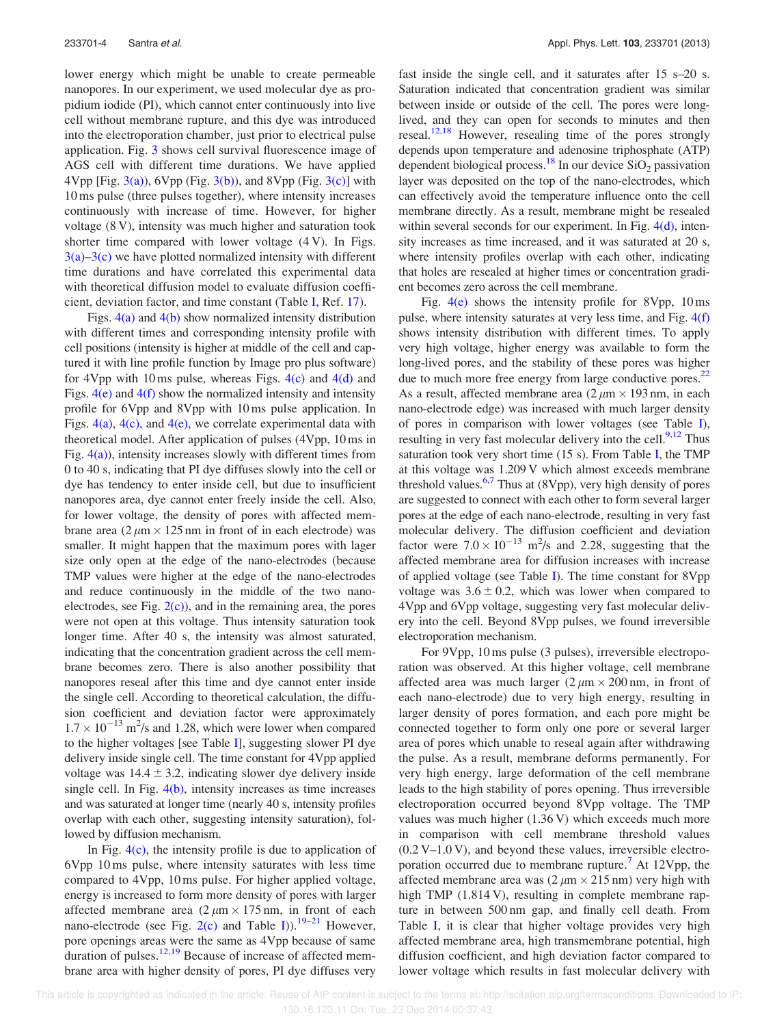lower energy which might be unable to create permeable nanopores. In our experiment, we used molecular dye as propidium iodide (PI), which cannot enter continuously into live cell without membrane rupture, and this dye was introduced into the electroporation chamber, just prior to electrical pulse application. Fig. 3 shows cell survival fluorescence image of AGS cell with different time durations. We have applied 4Vpp [Fig. 3(a)), 6Vpp (Fig. 3(b)), and 8Vpp (Fig. 3(c)] with 10 ms pulse (three pulses together), where intensity increases continuously with increase of time. However, for higher voltage (8 V), intensity was much higher and saturation took shorter time compared with lower voltage (4 V). In Figs.  $3(a)$ – $3(c)$  we have plotted normalized intensity with different time durations and have correlated this experimental data with theoretical diffusion model to evaluate diffusion coefficient, deviation factor, and time constant (Table I, Ref. 17).

Figs.  $4(a)$  and  $4(b)$  show normalized intensity distribution with different times and corresponding intensity profile with cell positions (intensity is higher at middle of the cell and captured it with line profile function by Image pro plus software) for 4Vpp with 10 ms pulse, whereas Figs.  $4(c)$  and  $4(d)$  and Figs.  $4(e)$  and  $4(f)$  show the normalized intensity and intensity profile for 6Vpp and 8Vpp with 10 ms pulse application. In Figs.  $4(a)$ ,  $4(c)$ , and  $4(e)$ , we correlate experimental data with theoretical model. After application of pulses (4Vpp, 10 ms in Fig.  $4(a)$ ), intensity increases slowly with different times from 0 to 40 s, indicating that PI dye diffuses slowly into the cell or dye has tendency to enter inside cell, but due to insufficient nanopores area, dye cannot enter freely inside the cell. Also, for lower voltage, the density of pores with affected membrane area  $(2 \mu m \times 125 \text{ nm}$  in front of in each electrode) was smaller. It might happen that the maximum pores with lager size only open at the edge of the nano-electrodes (because TMP values were higher at the edge of the nano-electrodes and reduce continuously in the middle of the two nanoelectrodes, see Fig.  $2(c)$ ), and in the remaining area, the pores were not open at this voltage. Thus intensity saturation took longer time. After 40 s, the intensity was almost saturated, indicating that the concentration gradient across the cell membrane becomes zero. There is also another possibility that nanopores reseal after this time and dye cannot enter inside the single cell. According to theoretical calculation, the diffusion coefficient and deviation factor were approximately  $1.7 \times 10^{-13}$  m<sup>2</sup>/s and 1.28, which were lower when compared to the higher voltages [see Table I], suggesting slower PI dye delivery inside single cell. The time constant for 4Vpp applied voltage was  $14.4 \pm 3.2$ , indicating slower dye delivery inside single cell. In Fig.  $4(b)$ , intensity increases as time increases and was saturated at longer time (nearly 40 s, intensity profiles overlap with each other, suggesting intensity saturation), followed by diffusion mechanism.

In Fig.  $4(c)$ , the intensity profile is due to application of 6Vpp 10 ms pulse, where intensity saturates with less time compared to 4Vpp, 10 ms pulse. For higher applied voltage, energy is increased to form more density of pores with larger affected membrane area  $(2 \mu m \times 175)$  nm, in front of each nano-electrode (see Fig. 2(c) and Table I)).<sup>19–21</sup> However, pore openings areas were the same as 4Vpp because of same duration of pulses.<sup>12,19</sup> Because of increase of affected membrane area with higher density of pores, PI dye diffuses very fast inside the single cell, and it saturates after 15 s–20 s. Saturation indicated that concentration gradient was similar between inside or outside of the cell. The pores were longlived, and they can open for seconds to minutes and then reseal.<sup>12,18</sup> However, resealing time of the pores strongly depends upon temperature and adenosine triphosphate (ATP) dependent biological process.<sup>18</sup> In our device  $SiO<sub>2</sub>$  passivation layer was deposited on the top of the nano-electrodes, which can effectively avoid the temperature influence onto the cell membrane directly. As a result, membrane might be resealed within several seconds for our experiment. In Fig. 4(d), intensity increases as time increased, and it was saturated at 20 s, where intensity profiles overlap with each other, indicating that holes are resealed at higher times or concentration gradient becomes zero across the cell membrane.

Fig.  $4(e)$  shows the intensity profile for 8Vpp, 10 ms pulse, where intensity saturates at very less time, and Fig. 4(f) shows intensity distribution with different times. To apply very high voltage, higher energy was available to form the long-lived pores, and the stability of these pores was higher due to much more free energy from large conductive pores. $22$ As a result, affected membrane area  $(2 \mu m \times 193)$  nm, in each nano-electrode edge) was increased with much larger density of pores in comparison with lower voltages (see Table I), resulting in very fast molecular delivery into the cell.<sup>9,12</sup> Thus saturation took very short time (15 s). From Table I, the TMP at this voltage was 1.209 V which almost exceeds membrane threshold values.<sup>6,7</sup> Thus at (8Vpp), very high density of pores are suggested to connect with each other to form several larger pores at the edge of each nano-electrode, resulting in very fast molecular delivery. The diffusion coefficient and deviation factor were  $7.0 \times 10^{-13}$  m<sup>2</sup>/s and 2.28, suggesting that the affected membrane area for diffusion increases with increase of applied voltage (see Table I). The time constant for 8Vpp voltage was  $3.6 \pm 0.2$ , which was lower when compared to 4Vpp and 6Vpp voltage, suggesting very fast molecular delivery into the cell. Beyond 8Vpp pulses, we found irreversible electroporation mechanism.

For 9Vpp, 10 ms pulse (3 pulses), irreversible electroporation was observed. At this higher voltage, cell membrane affected area was much larger  $(2 \mu m \times 200)$  nm, in front of each nano-electrode) due to very high energy, resulting in larger density of pores formation, and each pore might be connected together to form only one pore or several larger area of pores which unable to reseal again after withdrawing the pulse. As a result, membrane deforms permanently. For very high energy, large deformation of the cell membrane leads to the high stability of pores opening. Thus irreversible electroporation occurred beyond 8Vpp voltage. The TMP values was much higher (1.36 V) which exceeds much more in comparison with cell membrane threshold values  $(0.2 V-1.0 V)$ , and beyond these values, irreversible electroporation occurred due to membrane rupture.<sup>7</sup> At 12Vpp, the affected membrane area was  $(2 \mu m \times 215 nm)$  very high with high TMP (1.814 V), resulting in complete membrane rapture in between 500 nm gap, and finally cell death. From Table I, it is clear that higher voltage provides very high affected membrane area, high transmembrane potential, high diffusion coefficient, and high deviation factor compared to lower voltage which results in fast molecular delivery with